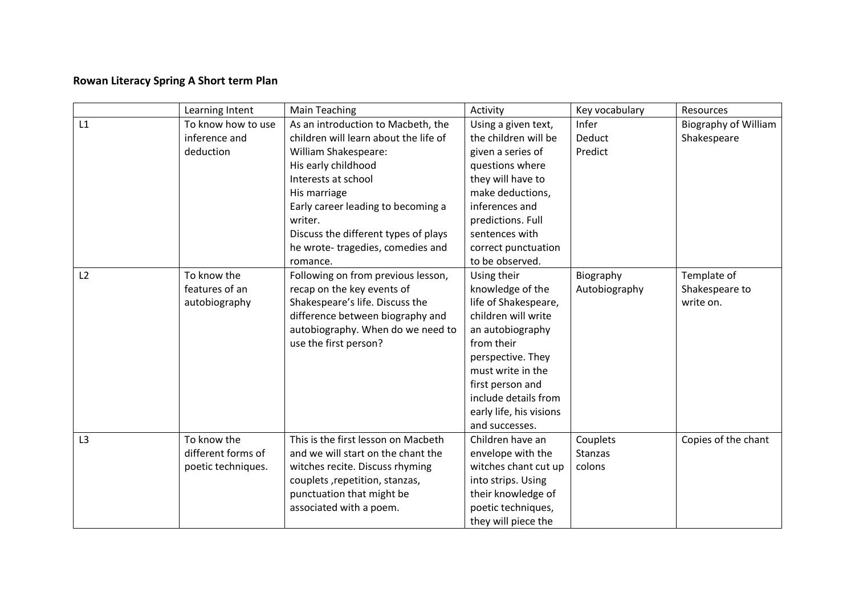## **Rowan Literacy Spring A Short term Plan**

|    | Learning Intent    | <b>Main Teaching</b>                  | Activity                | Key vocabulary | Resources                   |
|----|--------------------|---------------------------------------|-------------------------|----------------|-----------------------------|
| L1 | To know how to use | As an introduction to Macbeth, the    | Using a given text,     | Infer          | <b>Biography of William</b> |
|    | inference and      | children will learn about the life of | the children will be    | Deduct         | Shakespeare                 |
|    | deduction          | William Shakespeare:                  | given a series of       | Predict        |                             |
|    |                    | His early childhood                   | questions where         |                |                             |
|    |                    | Interests at school                   | they will have to       |                |                             |
|    |                    | His marriage                          | make deductions,        |                |                             |
|    |                    | Early career leading to becoming a    | inferences and          |                |                             |
|    |                    | writer.                               | predictions. Full       |                |                             |
|    |                    | Discuss the different types of plays  | sentences with          |                |                             |
|    |                    | he wrote-tragedies, comedies and      | correct punctuation     |                |                             |
|    |                    | romance.                              | to be observed.         |                |                             |
| L2 | To know the        | Following on from previous lesson,    | Using their             | Biography      | Template of                 |
|    | features of an     | recap on the key events of            | knowledge of the        | Autobiography  | Shakespeare to              |
|    | autobiography      | Shakespeare's life. Discuss the       | life of Shakespeare,    |                | write on.                   |
|    |                    | difference between biography and      | children will write     |                |                             |
|    |                    | autobiography. When do we need to     | an autobiography        |                |                             |
|    |                    | use the first person?                 | from their              |                |                             |
|    |                    |                                       | perspective. They       |                |                             |
|    |                    |                                       | must write in the       |                |                             |
|    |                    |                                       | first person and        |                |                             |
|    |                    |                                       | include details from    |                |                             |
|    |                    |                                       | early life, his visions |                |                             |
|    |                    |                                       | and successes.          |                |                             |
| L3 | To know the        | This is the first lesson on Macbeth   | Children have an        | Couplets       | Copies of the chant         |
|    | different forms of | and we will start on the chant the    | envelope with the       | Stanzas        |                             |
|    | poetic techniques. | witches recite. Discuss rhyming       | witches chant cut up    | colons         |                             |
|    |                    | couplets, repetition, stanzas,        | into strips. Using      |                |                             |
|    |                    | punctuation that might be             | their knowledge of      |                |                             |
|    |                    | associated with a poem.               | poetic techniques,      |                |                             |
|    |                    |                                       | they will piece the     |                |                             |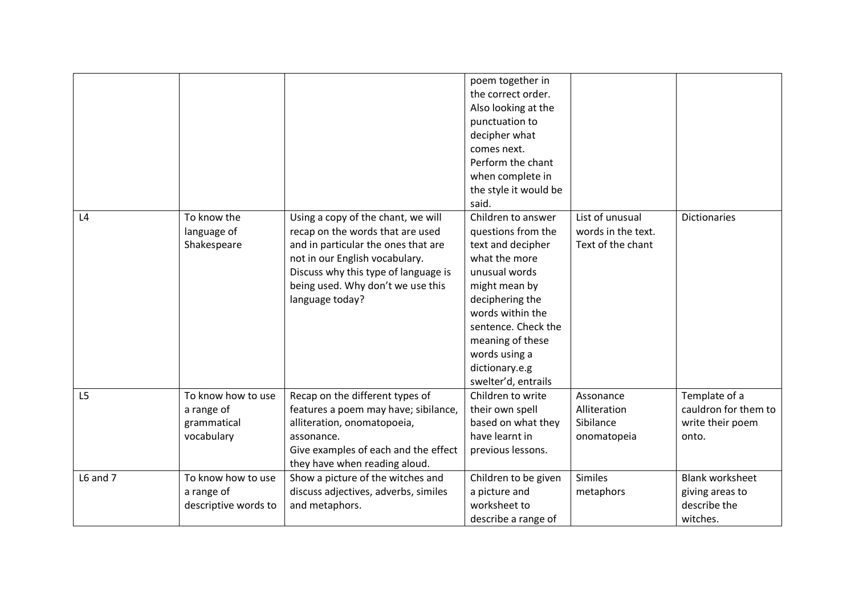|                |                                                               |                                                                                                                                                                                                                                                 | poem together in<br>the correct order.<br>Also looking at the<br>punctuation to<br>decipher what<br>comes next.<br>Perform the chant<br>when complete in<br>the style it would be<br>said.                                                                   |                                                            |                                                                       |
|----------------|---------------------------------------------------------------|-------------------------------------------------------------------------------------------------------------------------------------------------------------------------------------------------------------------------------------------------|--------------------------------------------------------------------------------------------------------------------------------------------------------------------------------------------------------------------------------------------------------------|------------------------------------------------------------|-----------------------------------------------------------------------|
| L4             | To know the<br>language of<br>Shakespeare                     | Using a copy of the chant, we will<br>recap on the words that are used<br>and in particular the ones that are<br>not in our English vocabulary.<br>Discuss why this type of language is<br>being used. Why don't we use this<br>language today? | Children to answer<br>questions from the<br>text and decipher<br>what the more<br>unusual words<br>might mean by<br>deciphering the<br>words within the<br>sentence. Check the<br>meaning of these<br>words using a<br>dictionary.e.g<br>swelter'd, entrails | List of unusual<br>words in the text.<br>Text of the chant | <b>Dictionaries</b>                                                   |
| L <sub>5</sub> | To know how to use<br>a range of<br>grammatical<br>vocabulary | Recap on the different types of<br>features a poem may have; sibilance,<br>alliteration, onomatopoeia,<br>assonance.<br>Give examples of each and the effect<br>they have when reading aloud.                                                   | Children to write<br>their own spell<br>based on what they<br>have learnt in<br>previous lessons.                                                                                                                                                            | Assonance<br>Alliteration<br>Sibilance<br>onomatopeia      | Template of a<br>cauldron for them to<br>write their poem<br>onto.    |
| L6 and 7       | To know how to use<br>a range of<br>descriptive words to      | Show a picture of the witches and<br>discuss adjectives, adverbs, similes<br>and metaphors.                                                                                                                                                     | Children to be given<br>a picture and<br>worksheet to<br>describe a range of                                                                                                                                                                                 | <b>Similes</b><br>metaphors                                | <b>Blank worksheet</b><br>giving areas to<br>describe the<br>witches. |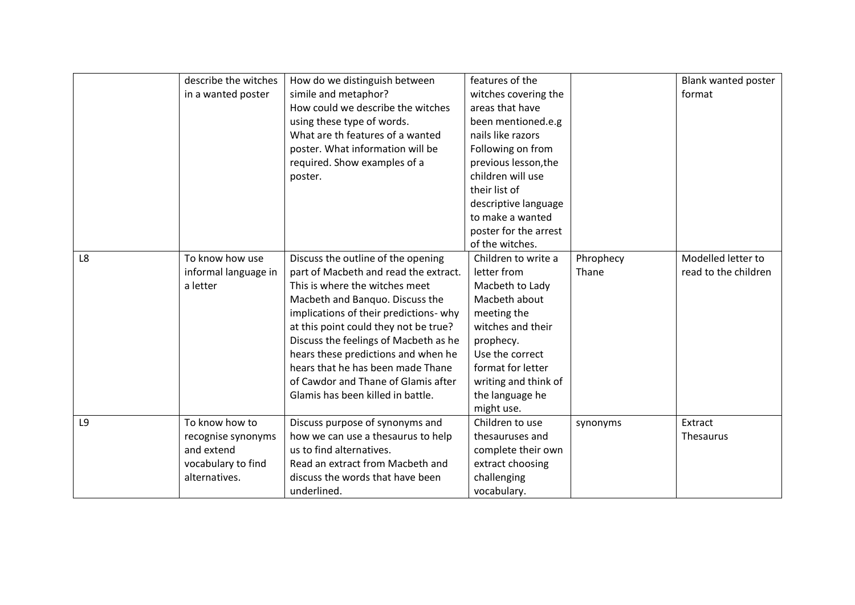|    | describe the witches | How do we distinguish between          | features of the       |           | Blank wanted poster  |
|----|----------------------|----------------------------------------|-----------------------|-----------|----------------------|
|    | in a wanted poster   | simile and metaphor?                   | witches covering the  |           | format               |
|    |                      | How could we describe the witches      | areas that have       |           |                      |
|    |                      | using these type of words.             | been mentioned.e.g    |           |                      |
|    |                      | What are th features of a wanted       | nails like razors     |           |                      |
|    |                      | poster. What information will be       | Following on from     |           |                      |
|    |                      | required. Show examples of a           | previous lesson, the  |           |                      |
|    |                      |                                        | children will use     |           |                      |
|    |                      | poster.                                |                       |           |                      |
|    |                      |                                        | their list of         |           |                      |
|    |                      |                                        | descriptive language  |           |                      |
|    |                      |                                        | to make a wanted      |           |                      |
|    |                      |                                        | poster for the arrest |           |                      |
|    |                      |                                        | of the witches.       |           |                      |
| L8 | To know how use      | Discuss the outline of the opening     | Children to write a   | Phrophecy | Modelled letter to   |
|    | informal language in | part of Macbeth and read the extract.  | letter from           | Thane     | read to the children |
|    | a letter             | This is where the witches meet         | Macbeth to Lady       |           |                      |
|    |                      | Macbeth and Banquo. Discuss the        | Macbeth about         |           |                      |
|    |                      | implications of their predictions- why | meeting the           |           |                      |
|    |                      | at this point could they not be true?  | witches and their     |           |                      |
|    |                      | Discuss the feelings of Macbeth as he  | prophecy.             |           |                      |
|    |                      | hears these predictions and when he    | Use the correct       |           |                      |
|    |                      | hears that he has been made Thane      | format for letter     |           |                      |
|    |                      | of Cawdor and Thane of Glamis after    | writing and think of  |           |                      |
|    |                      | Glamis has been killed in battle.      | the language he       |           |                      |
|    |                      |                                        | might use.            |           |                      |
| L9 | To know how to       | Discuss purpose of synonyms and        | Children to use       | synonyms  | Extract              |
|    | recognise synonyms   | how we can use a thesaurus to help     | thesauruses and       |           | Thesaurus            |
|    | and extend           | us to find alternatives.               | complete their own    |           |                      |
|    | vocabulary to find   | Read an extract from Macbeth and       | extract choosing      |           |                      |
|    | alternatives.        | discuss the words that have been       | challenging           |           |                      |
|    |                      | underlined.                            | vocabulary.           |           |                      |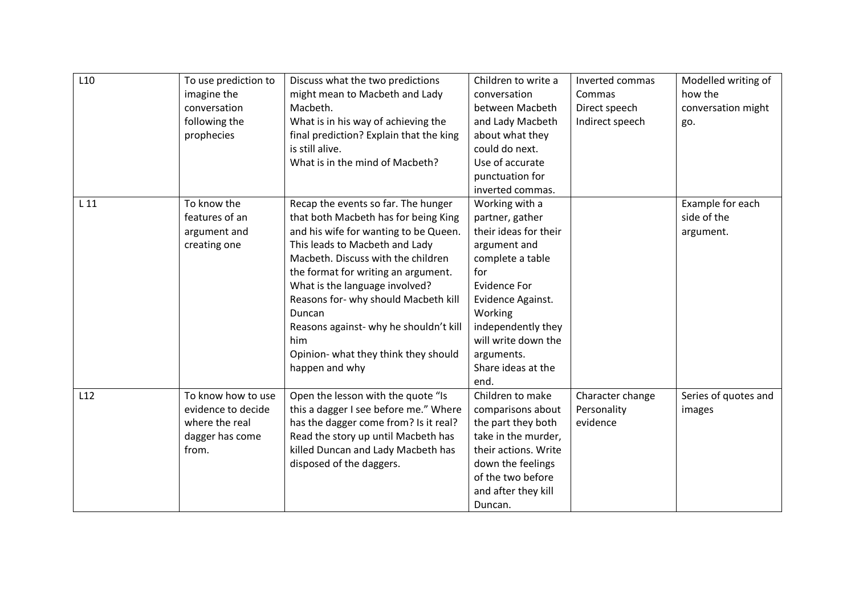| L <sub>10</sub> | To use prediction to<br>imagine the<br>conversation<br>following the<br>prophecies     | Discuss what the two predictions<br>might mean to Macbeth and Lady<br>Macbeth.<br>What is in his way of achieving the<br>final prediction? Explain that the king<br>is still alive.<br>What is in the mind of Macbeth?                                                                                                                                                                                                             | Children to write a<br>conversation<br>between Macbeth<br>and Lady Macbeth<br>about what they<br>could do next.<br>Use of accurate<br>punctuation for<br>inverted commas.                                                                             | Inverted commas<br>Commas<br>Direct speech<br>Indirect speech | Modelled writing of<br>how the<br>conversation might<br>go. |
|-----------------|----------------------------------------------------------------------------------------|------------------------------------------------------------------------------------------------------------------------------------------------------------------------------------------------------------------------------------------------------------------------------------------------------------------------------------------------------------------------------------------------------------------------------------|-------------------------------------------------------------------------------------------------------------------------------------------------------------------------------------------------------------------------------------------------------|---------------------------------------------------------------|-------------------------------------------------------------|
| L 11            | To know the<br>features of an<br>argument and<br>creating one                          | Recap the events so far. The hunger<br>that both Macbeth has for being King<br>and his wife for wanting to be Queen.<br>This leads to Macbeth and Lady<br>Macbeth. Discuss with the children<br>the format for writing an argument.<br>What is the language involved?<br>Reasons for- why should Macbeth kill<br>Duncan<br>Reasons against- why he shouldn't kill<br>him<br>Opinion- what they think they should<br>happen and why | Working with a<br>partner, gather<br>their ideas for their<br>argument and<br>complete a table<br>for<br><b>Evidence For</b><br>Evidence Against.<br>Working<br>independently they<br>will write down the<br>arguments.<br>Share ideas at the<br>end. |                                                               | Example for each<br>side of the<br>argument.                |
| L12             | To know how to use<br>evidence to decide<br>where the real<br>dagger has come<br>from. | Open the lesson with the quote "Is<br>this a dagger I see before me." Where<br>has the dagger come from? Is it real?<br>Read the story up until Macbeth has<br>killed Duncan and Lady Macbeth has<br>disposed of the daggers.                                                                                                                                                                                                      | Children to make<br>comparisons about<br>the part they both<br>take in the murder,<br>their actions. Write<br>down the feelings<br>of the two before<br>and after they kill<br>Duncan.                                                                | Character change<br>Personality<br>evidence                   | Series of quotes and<br>images                              |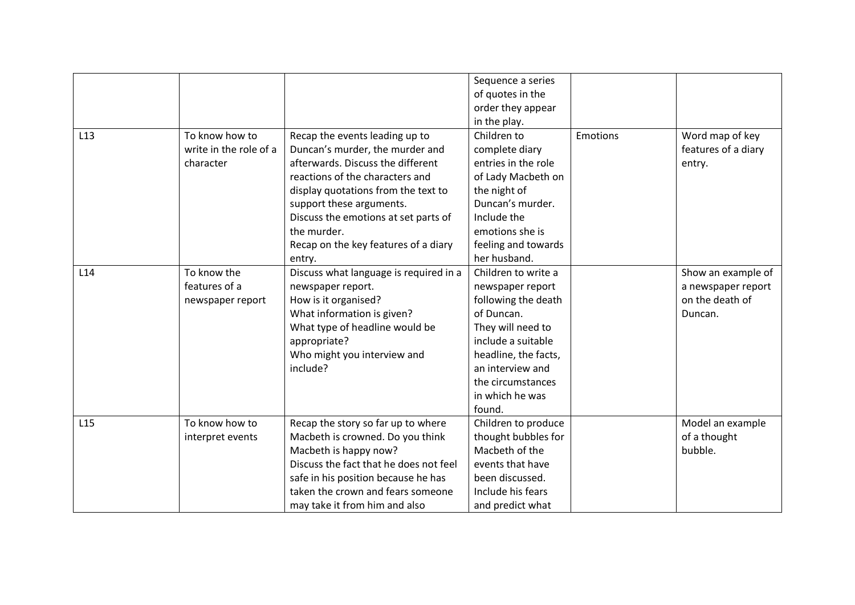|                 |                        |                                        | Sequence a series    |          |                     |
|-----------------|------------------------|----------------------------------------|----------------------|----------|---------------------|
|                 |                        |                                        | of quotes in the     |          |                     |
|                 |                        |                                        | order they appear    |          |                     |
|                 |                        |                                        | in the play.         |          |                     |
| L <sub>13</sub> | To know how to         | Recap the events leading up to         | Children to          | Emotions | Word map of key     |
|                 | write in the role of a | Duncan's murder, the murder and        | complete diary       |          | features of a diary |
|                 | character              | afterwards. Discuss the different      | entries in the role  |          | entry.              |
|                 |                        | reactions of the characters and        | of Lady Macbeth on   |          |                     |
|                 |                        | display quotations from the text to    | the night of         |          |                     |
|                 |                        | support these arguments.               | Duncan's murder.     |          |                     |
|                 |                        | Discuss the emotions at set parts of   | Include the          |          |                     |
|                 |                        | the murder.                            | emotions she is      |          |                     |
|                 |                        | Recap on the key features of a diary   | feeling and towards  |          |                     |
|                 |                        | entry.                                 | her husband.         |          |                     |
| L14             | To know the            | Discuss what language is required in a | Children to write a  |          | Show an example of  |
|                 | features of a          | newspaper report.                      | newspaper report     |          | a newspaper report  |
|                 | newspaper report       | How is it organised?                   | following the death  |          | on the death of     |
|                 |                        | What information is given?             | of Duncan.           |          | Duncan.             |
|                 |                        | What type of headline would be         | They will need to    |          |                     |
|                 |                        | appropriate?                           | include a suitable   |          |                     |
|                 |                        | Who might you interview and            | headline, the facts, |          |                     |
|                 |                        | include?                               | an interview and     |          |                     |
|                 |                        |                                        | the circumstances    |          |                     |
|                 |                        |                                        | in which he was      |          |                     |
|                 |                        |                                        | found.               |          |                     |
| L15             | To know how to         | Recap the story so far up to where     | Children to produce  |          | Model an example    |
|                 | interpret events       | Macbeth is crowned. Do you think       | thought bubbles for  |          | of a thought        |
|                 |                        | Macbeth is happy now?                  | Macbeth of the       |          | bubble.             |
|                 |                        | Discuss the fact that he does not feel | events that have     |          |                     |
|                 |                        | safe in his position because he has    | been discussed.      |          |                     |
|                 |                        | taken the crown and fears someone      | Include his fears    |          |                     |
|                 |                        | may take it from him and also          | and predict what     |          |                     |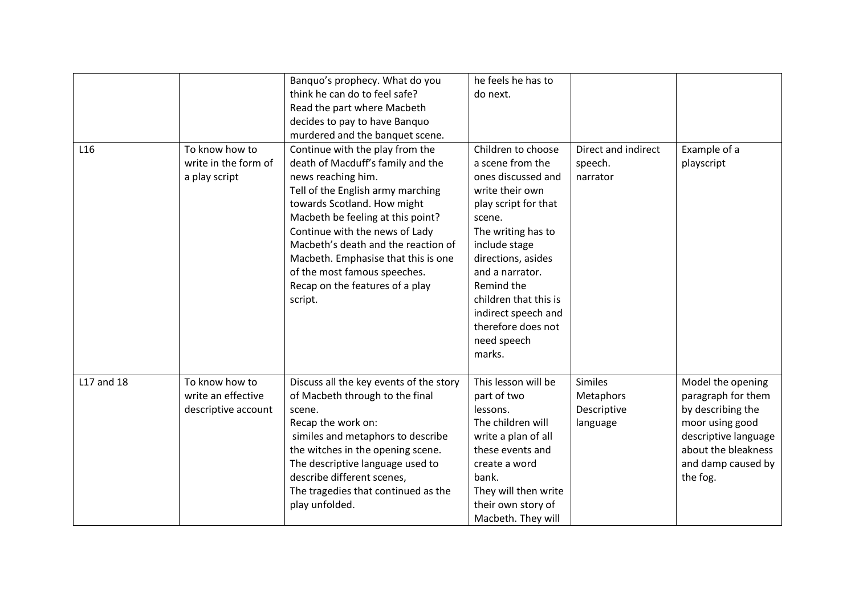|                 |                                                             | Banquo's prophecy. What do you                                                                                                                                                                                                                                                                                                                                                                    | he feels he has to                                                                                                                                                                                                                                                                                             |                                                        |                                                                                                                                                                  |
|-----------------|-------------------------------------------------------------|---------------------------------------------------------------------------------------------------------------------------------------------------------------------------------------------------------------------------------------------------------------------------------------------------------------------------------------------------------------------------------------------------|----------------------------------------------------------------------------------------------------------------------------------------------------------------------------------------------------------------------------------------------------------------------------------------------------------------|--------------------------------------------------------|------------------------------------------------------------------------------------------------------------------------------------------------------------------|
|                 |                                                             | think he can do to feel safe?                                                                                                                                                                                                                                                                                                                                                                     | do next.                                                                                                                                                                                                                                                                                                       |                                                        |                                                                                                                                                                  |
|                 |                                                             | Read the part where Macbeth<br>decides to pay to have Banquo                                                                                                                                                                                                                                                                                                                                      |                                                                                                                                                                                                                                                                                                                |                                                        |                                                                                                                                                                  |
|                 |                                                             | murdered and the banquet scene.                                                                                                                                                                                                                                                                                                                                                                   |                                                                                                                                                                                                                                                                                                                |                                                        |                                                                                                                                                                  |
| L <sub>16</sub> | To know how to<br>write in the form of<br>a play script     | Continue with the play from the<br>death of Macduff's family and the<br>news reaching him.<br>Tell of the English army marching<br>towards Scotland. How might<br>Macbeth be feeling at this point?<br>Continue with the news of Lady<br>Macbeth's death and the reaction of<br>Macbeth. Emphasise that this is one<br>of the most famous speeches.<br>Recap on the features of a play<br>script. | Children to choose<br>a scene from the<br>ones discussed and<br>write their own<br>play script for that<br>scene.<br>The writing has to<br>include stage<br>directions, asides<br>and a narrator.<br>Remind the<br>children that this is<br>indirect speech and<br>therefore does not<br>need speech<br>marks. | Direct and indirect<br>speech.<br>narrator             | Example of a<br>playscript                                                                                                                                       |
| L17 and 18      | To know how to<br>write an effective<br>descriptive account | Discuss all the key events of the story<br>of Macbeth through to the final<br>scene.<br>Recap the work on:<br>similes and metaphors to describe<br>the witches in the opening scene.<br>The descriptive language used to<br>describe different scenes,<br>The tragedies that continued as the<br>play unfolded.                                                                                   | This lesson will be<br>part of two<br>lessons.<br>The children will<br>write a plan of all<br>these events and<br>create a word<br>bank.<br>They will then write<br>their own story of<br>Macbeth. They will                                                                                                   | <b>Similes</b><br>Metaphors<br>Descriptive<br>language | Model the opening<br>paragraph for them<br>by describing the<br>moor using good<br>descriptive language<br>about the bleakness<br>and damp caused by<br>the fog. |